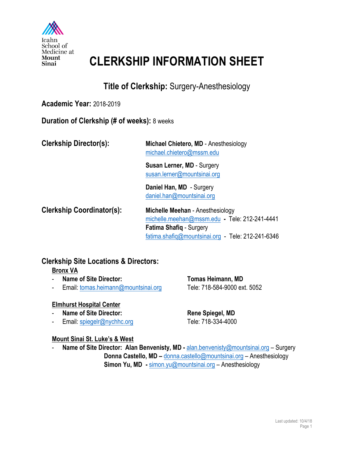

## **CLERKSHIP INFORMATION SHEET**

## **Title of Clerkship:** Surgery-Anesthesiology

#### **Academic Year:** 2018-2019

**Duration of Clerkship (# of weeks):** 8 weeks

|  | <b>Clerkship Director(s):</b> |
|--|-------------------------------|
|--|-------------------------------|

**Michael Chietero, MD** - Anesthesiology michael.chietero@mssm.edu

**Susan Lerner, MD** - Surgery susan.lerner@mountsinai.org

**Daniel Han, MD** - Surgery daniel.han@mountsinai.org

**Clerkship Coordinator(s): Michelle Meehan** - Anesthesiology michelle.meehan@mssm.edu **-** Tele: 212-241-4441 **Fatima Shafiq** - Surgery fatima.shafiq@mountsinai.org - Tele: 212-241-6346

## **Clerkship Site Locations & Directors:**

## **Bronx VA**

- **Name of Site Director: Tomas Heimann, MD**
- Email: tomas.heimann@mountsinai.org Tele: 718-584-9000 ext. 5052

#### **Elmhurst Hospital Center**

- **Name of Site Director:** Rene Spiegel, MD
- Email: spiegelr@nychhc.org Tele: 718-334-4000

#### **Mount Sinai St. Luke's & West**

Name of Site Director: Alan Benvenisty, MD - alan.benvenisty@mountsinai.org - Surgery **Donna Castello, MD –** donna.castello@mountsinai.org – Anesthesiology **Simon Yu, MD -** simon.yu@mountsinai.org – Anesthesiology